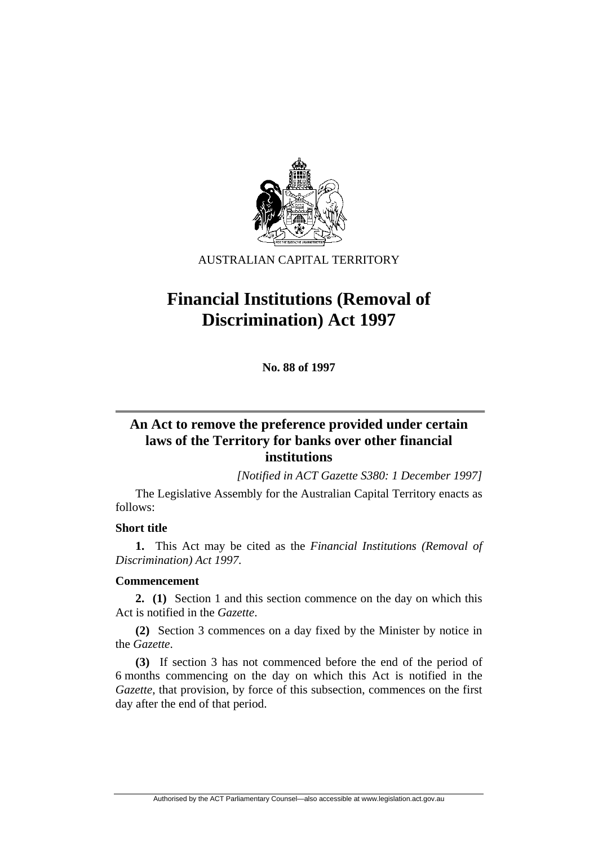

AUSTRALIAN CAPITAL TERRITORY

# **Financial Institutions (Removal of Discrimination) Act 1997**

**No. 88 of 1997** 

## **An Act to remove the preference provided under certain laws of the Territory for banks over other financial institutions**

*[Notified in ACT Gazette S380: 1 December 1997]*

 The Legislative Assembly for the Australian Capital Territory enacts as follows:

## **Short title**

**1.** This Act may be cited as the *Financial Institutions (Removal of Discrimination) Act 1997.*

## **Commencement**

**2. (1)** Section 1 and this section commence on the day on which this Act is notified in the *Gazette*.

**(2)** Section 3 commences on a day fixed by the Minister by notice in the *Gazette*.

**(3)** If section 3 has not commenced before the end of the period of 6 months commencing on the day on which this Act is notified in the *Gazette*, that provision, by force of this subsection, commences on the first day after the end of that period.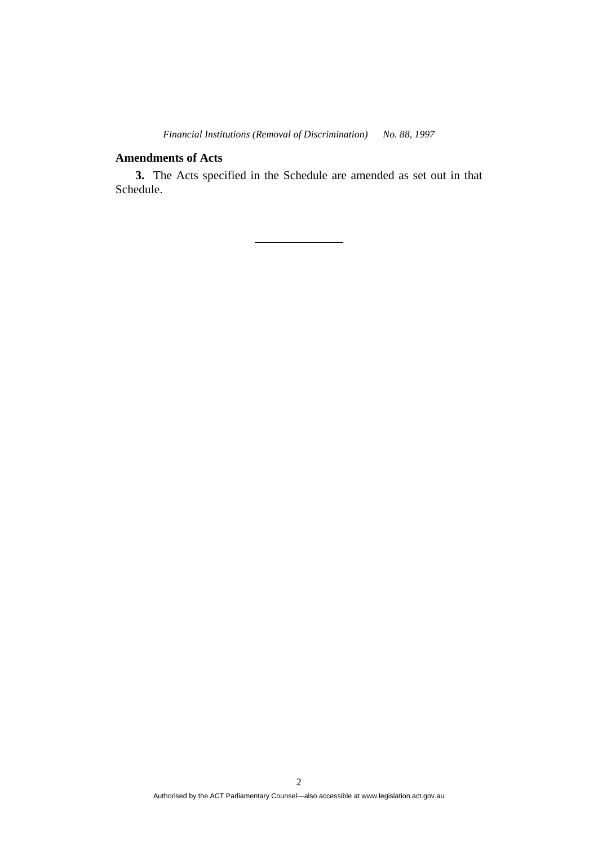## **Amendments of Acts**

**3.** The Acts specified in the Schedule are amended as set out in that Schedule.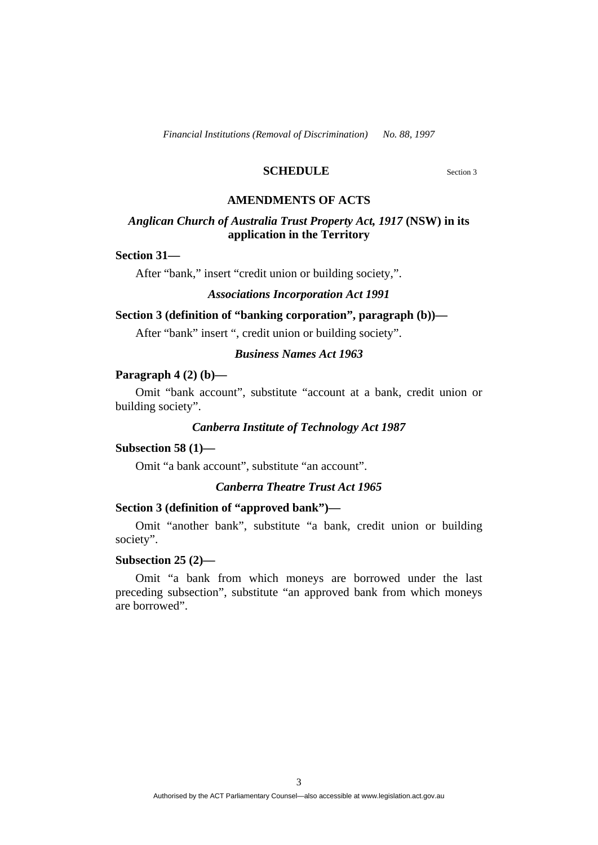## **SCHEDULE** Section 3

#### **AMENDMENTS OF ACTS**

## *Anglican Church of Australia Trust Property Act, 1917* **(NSW) in its application in the Territory**

#### **Section 31—**

After "bank," insert "credit union or building society,".

#### *Associations Incorporation Act 1991*

## **Section 3 (definition of "banking corporation", paragraph (b))—**

After "bank" insert ", credit union or building society".

## *Business Names Act 1963*

## **Paragraph 4 (2) (b)—**

Omit "bank account", substitute "account at a bank, credit union or building society".

#### *Canberra Institute of Technology Act 1987*

#### **Subsection 58 (1)—**

Omit "a bank account", substitute "an account".

#### *Canberra Theatre Trust Act 1965*

#### **Section 3 (definition of "approved bank")—**

Omit "another bank", substitute "a bank, credit union or building society".

## **Subsection 25 (2)—**

Omit "a bank from which moneys are borrowed under the last preceding subsection", substitute "an approved bank from which moneys are borrowed".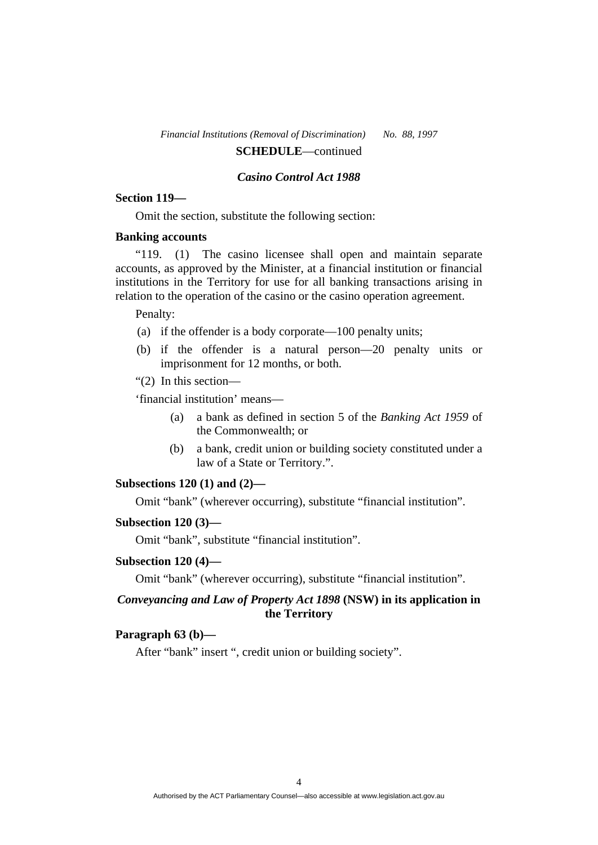#### *Casino Control Act 1988*

#### **Section 119—**

Omit the section, substitute the following section:

#### **Banking accounts**

"119. (1) The casino licensee shall open and maintain separate accounts, as approved by the Minister, at a financial institution or financial institutions in the Territory for use for all banking transactions arising in relation to the operation of the casino or the casino operation agreement.

#### Penalty:

- (a) if the offender is a body corporate—100 penalty units;
- (b) if the offender is a natural person—20 penalty units or imprisonment for 12 months, or both.
- "(2) In this section—

'financial institution' means—

- (a) a bank as defined in section 5 of the *Banking Act 1959* of the Commonwealth; or
- (b) a bank, credit union or building society constituted under a law of a State or Territory.".

#### **Subsections 120 (1) and (2)—**

Omit "bank" (wherever occurring), substitute "financial institution".

#### **Subsection 120 (3)—**

Omit "bank", substitute "financial institution".

#### **Subsection 120 (4)—**

Omit "bank" (wherever occurring), substitute "financial institution".

## *Conveyancing and Law of Property Act 1898* **(NSW) in its application in the Territory**

## **Paragraph 63 (b)—**

After "bank" insert ", credit union or building society".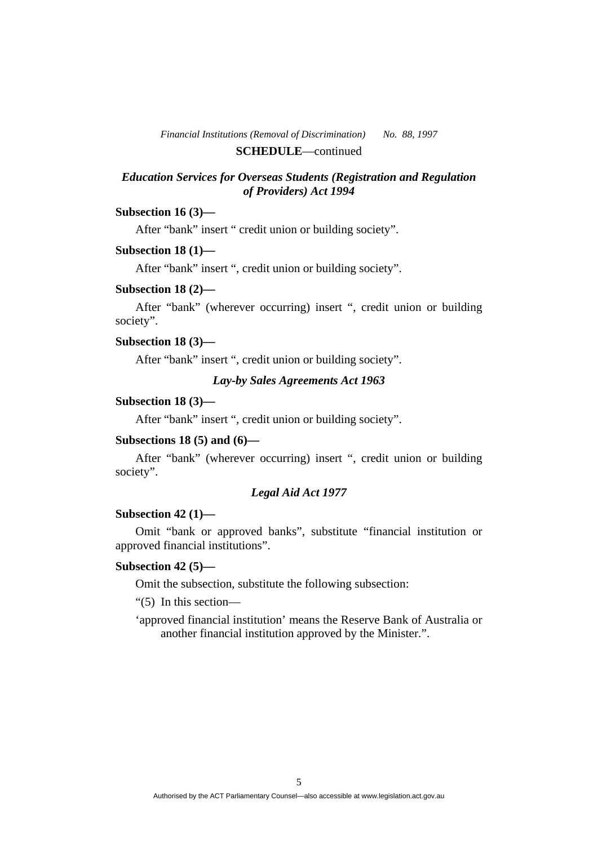## *Education Services for Overseas Students (Registration and Regulation of Providers) Act 1994*

## **Subsection 16 (3)—**

After "bank" insert " credit union or building society".

#### **Subsection 18 (1)—**

After "bank" insert ", credit union or building society".

#### **Subsection 18 (2)—**

After "bank" (wherever occurring) insert ", credit union or building society".

#### **Subsection 18 (3)—**

After "bank" insert ", credit union or building society".

## *Lay-by Sales Agreements Act 1963*

## **Subsection 18 (3)—**

After "bank" insert ", credit union or building society".

## **Subsections 18 (5) and (6)—**

After "bank" (wherever occurring) insert ", credit union or building society".

#### *Legal Aid Act 1977*

## **Subsection 42 (1)—**

Omit "bank or approved banks", substitute "financial institution or approved financial institutions".

#### **Subsection 42 (5)—**

Omit the subsection, substitute the following subsection:

"(5) In this section—

'approved financial institution' means the Reserve Bank of Australia or another financial institution approved by the Minister.".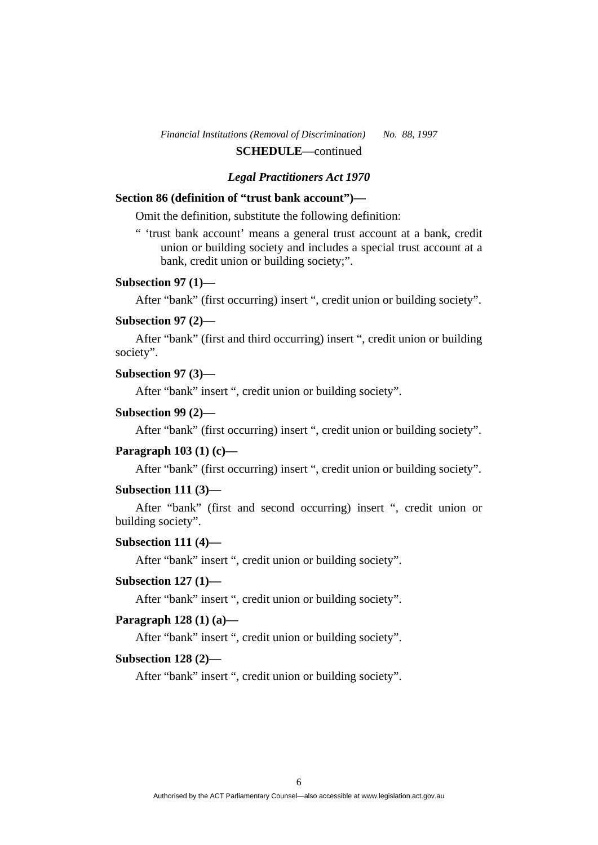## *Legal Practitioners Act 1970*

## **Section 86 (definition of "trust bank account")—**

Omit the definition, substitute the following definition:

" 'trust bank account' means a general trust account at a bank, credit union or building society and includes a special trust account at a bank, credit union or building society;".

## **Subsection 97 (1)—**

After "bank" (first occurring) insert ", credit union or building society".

#### **Subsection 97 (2)—**

After "bank" (first and third occurring) insert ", credit union or building society".

#### **Subsection 97 (3)—**

After "bank" insert ", credit union or building society".

## **Subsection 99 (2)—**

After "bank" (first occurring) insert ", credit union or building society".

## **Paragraph 103 (1) (c)—**

After "bank" (first occurring) insert ", credit union or building society".

#### **Subsection 111 (3)—**

After "bank" (first and second occurring) insert ", credit union or building society".

#### **Subsection 111 (4)—**

After "bank" insert ", credit union or building society".

#### **Subsection 127 (1)—**

After "bank" insert ", credit union or building society".

### **Paragraph 128 (1) (a)—**

After "bank" insert ", credit union or building society".

#### **Subsection 128 (2)—**

After "bank" insert ", credit union or building society".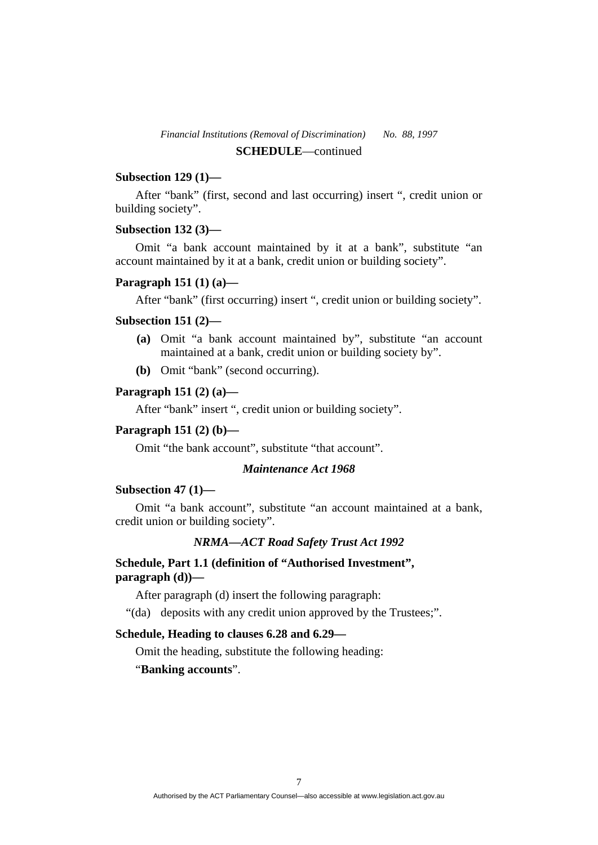## **Subsection 129 (1)—**

After "bank" (first, second and last occurring) insert ", credit union or building society".

#### **Subsection 132 (3)—**

Omit "a bank account maintained by it at a bank", substitute "an account maintained by it at a bank, credit union or building society".

## **Paragraph 151 (1) (a)—**

After "bank" (first occurring) insert ", credit union or building society".

#### **Subsection 151 (2)—**

- **(a)** Omit "a bank account maintained by", substitute "an account maintained at a bank, credit union or building society by".
- **(b)** Omit "bank" (second occurring).

## **Paragraph 151 (2) (a)—**

After "bank" insert ", credit union or building society".

#### **Paragraph 151 (2) (b)—**

Omit "the bank account", substitute "that account".

## *Maintenance Act 1968*

## **Subsection 47 (1)—**

Omit "a bank account", substitute "an account maintained at a bank, credit union or building society".

#### *NRMA—ACT Road Safety Trust Act 1992*

## **Schedule, Part 1.1 (definition of "Authorised Investment", paragraph (d))—**

After paragraph (d) insert the following paragraph:

"(da) deposits with any credit union approved by the Trustees;".

## **Schedule, Heading to clauses 6.28 and 6.29—**

Omit the heading, substitute the following heading:

## "**Banking accounts**".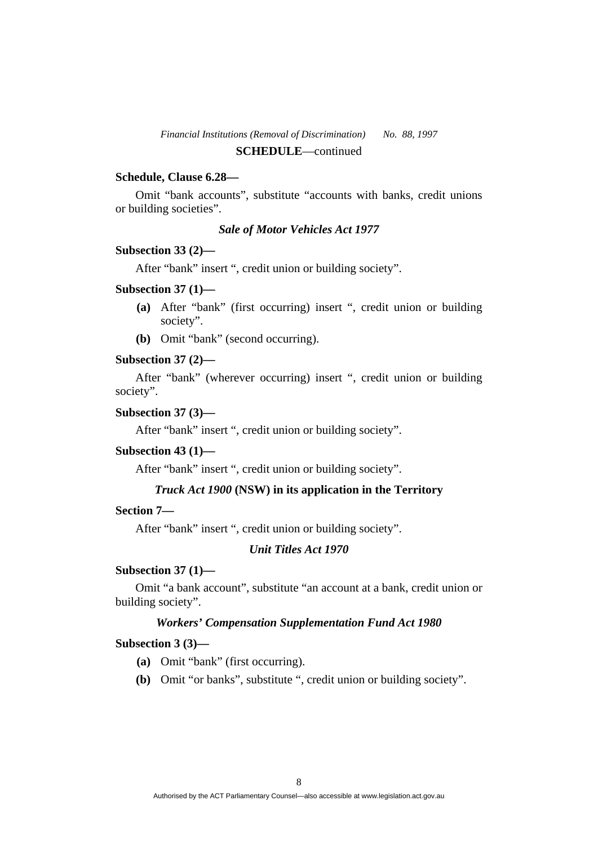## **Schedule, Clause 6.28—**

Omit "bank accounts", substitute "accounts with banks, credit unions or building societies".

## *Sale of Motor Vehicles Act 1977*

#### **Subsection 33 (2)—**

After "bank" insert ", credit union or building society".

#### **Subsection 37 (1)—**

- **(a)** After "bank" (first occurring) insert ", credit union or building society".
- **(b)** Omit "bank" (second occurring).

#### **Subsection 37 (2)—**

After "bank" (wherever occurring) insert ", credit union or building society".

## **Subsection 37 (3)—**

After "bank" insert ", credit union or building society".

#### **Subsection 43 (1)—**

After "bank" insert ", credit union or building society".

## *Truck Act 1900* **(NSW) in its application in the Territory**

## **Section 7—**

After "bank" insert ", credit union or building society".

## *Unit Titles Act 1970*

#### **Subsection 37 (1)—**

Omit "a bank account", substitute "an account at a bank, credit union or building society".

#### *Workers' Compensation Supplementation Fund Act 1980*

#### **Subsection 3 (3)—**

- **(a)** Omit "bank" (first occurring).
- **(b)** Omit "or banks", substitute ", credit union or building society".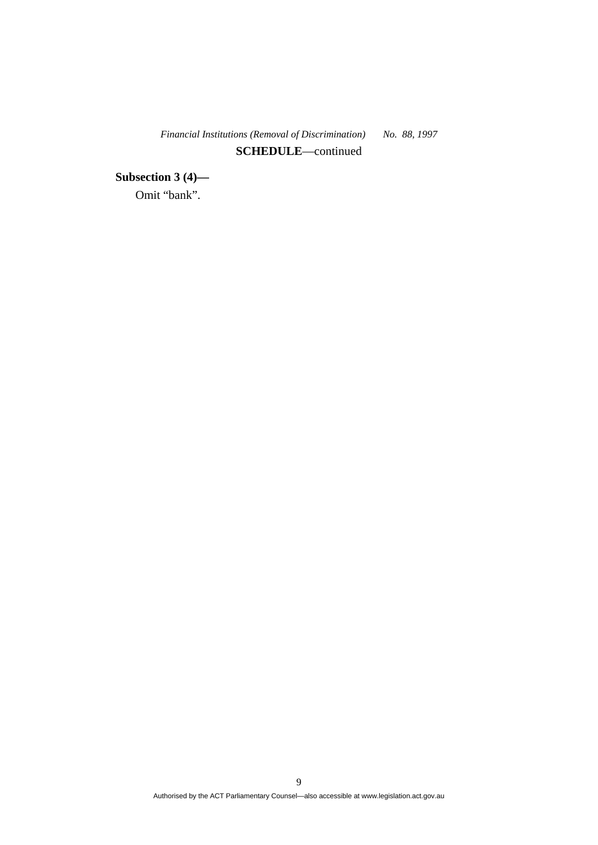**Subsection 3 (4)—**  Omit "bank".